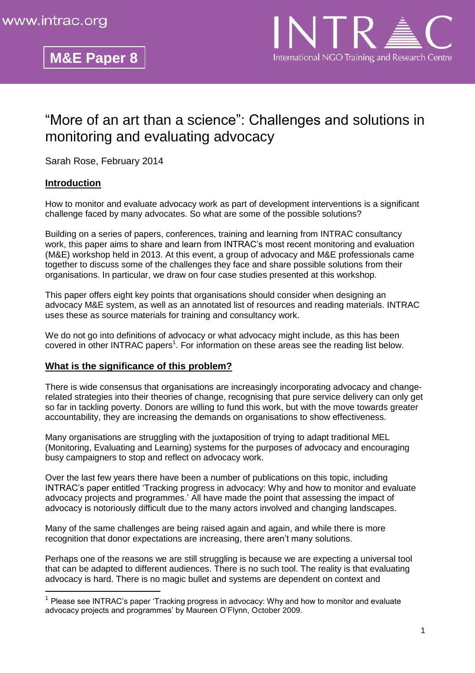# "More of an art than a science": Challenges and solutions in monitoring and evaluating advocacy

Sarah Rose, February 2014

**M&E Paper 8**

## **Introduction**

 $\overline{\phantom{a}}$ 

How to monitor and evaluate advocacy work as part of development interventions is a significant challenge faced by many advocates. So what are some of the possible solutions?

Building on a series of papers, conferences, training and learning from INTRAC consultancy work, this paper aims to share and learn from INTRAC's most recent monitoring and evaluation (M&E) workshop held in 2013. At this event, a group of advocacy and M&E professionals came together to discuss some of the challenges they face and share possible solutions from their organisations. In particular, we draw on four case studies presented at this workshop.

This paper offers eight key points that organisations should consider when designing an advocacy M&E system, as well as an annotated list of resources and reading materials. INTRAC uses these as source materials for training and consultancy work.

We do not go into definitions of advocacy or what advocacy might include, as this has been covered in other INTRAC papers<sup>1</sup>. For information on these areas see the reading list below.

#### **What is the significance of this problem?**

There is wide consensus that organisations are increasingly incorporating advocacy and changerelated strategies into their theories of change, recognising that pure service delivery can only get so far in tackling poverty. Donors are willing to fund this work, but with the move towards greater accountability, they are increasing the demands on organisations to show effectiveness.

Many organisations are struggling with the juxtaposition of trying to adapt traditional MEL (Monitoring, Evaluating and Learning) systems for the purposes of advocacy and encouraging busy campaigners to stop and reflect on advocacy work.

Over the last few years there have been a number of publications on this topic, including INTRAC's paper entitled 'Tracking progress in advocacy: Why and how to monitor and evaluate advocacy projects and programmes.' All have made the point that assessing the impact of advocacy is notoriously difficult due to the many actors involved and changing landscapes.

Many of the same challenges are being raised again and again, and while there is more recognition that donor expectations are increasing, there aren't many solutions.

Perhaps one of the reasons we are still struggling is because we are expecting a universal tool that can be adapted to different audiences. There is no such tool. The reality is that evaluating advocacy is hard. There is no magic bullet and systems are dependent on context and

<sup>&</sup>lt;sup>1</sup> Please see INTRAC's paper 'Tracking progress in advocacy: Why and how to monitor and evaluate advocacy projects and programmes' by Maureen O'Flynn, October 2009.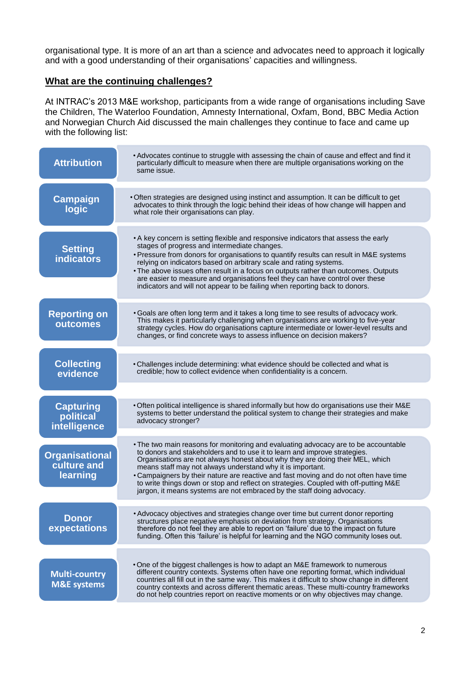organisational type. It is more of an art than a science and advocates need to approach it logically and with a good understanding of their organisations' capacities and willingness.

## **What are the continuing challenges?**

At INTRAC's 2013 M&E workshop, participants from a wide range of organisations including Save the Children, The Waterloo Foundation, Amnesty International, Oxfam, Bond, BBC Media Action and Norwegian Church Aid discussed the main challenges they continue to face and came up with the following list:

| <b>Attribution</b>                               | • Advocates continue to struggle with assessing the chain of cause and effect and find it<br>particularly difficult to measure when there are multiple organisations working on the<br>same issue.                                                                                                                                                                                                                                                                                                                                                                         |
|--------------------------------------------------|----------------------------------------------------------------------------------------------------------------------------------------------------------------------------------------------------------------------------------------------------------------------------------------------------------------------------------------------------------------------------------------------------------------------------------------------------------------------------------------------------------------------------------------------------------------------------|
| <b>Campaign</b><br>logic                         | • Often strategies are designed using instinct and assumption. It can be difficult to get<br>advocates to think through the logic behind their ideas of how change will happen and<br>what role their organisations can play.                                                                                                                                                                                                                                                                                                                                              |
| <b>Setting</b><br><b>indicators</b>              | • A key concern is setting flexible and responsive indicators that assess the early<br>stages of progress and intermediate changes.<br>• Pressure from donors for organisations to quantify results can result in M&E systems<br>relying on indicators based on arbitrary scale and rating systems.<br>• The above issues often result in a focus on outputs rather than outcomes. Outputs<br>are easier to measure and organisations feel they can have control over these<br>indicators and will not appear to be failing when reporting back to donors.                 |
| <b>Reporting on</b><br>outcomes                  | • Goals are often long term and it takes a long time to see results of advocacy work.<br>This makes it particularly challenging when organisations are working to five-year<br>strategy cycles. How do organisations capture intermediate or lower-level results and<br>changes, or find concrete ways to assess influence on decision makers?                                                                                                                                                                                                                             |
| <b>Collecting</b><br>evidence                    | • Challenges include determining: what evidence should be collected and what is<br>credible; how to collect evidence when confidentiality is a concern.                                                                                                                                                                                                                                                                                                                                                                                                                    |
|                                                  |                                                                                                                                                                                                                                                                                                                                                                                                                                                                                                                                                                            |
| <b>Capturing</b><br>political<br>intelligence    | . Often political intelligence is shared informally but how do organisations use their M&E<br>systems to better understand the political system to change their strategies and make<br>advocacy stronger?                                                                                                                                                                                                                                                                                                                                                                  |
| <b>Organisational</b><br>culture and<br>learning | • The two main reasons for monitoring and evaluating advocacy are to be accountable<br>to donors and stakeholders and to use it to learn and improve strategies.<br>Organisations are not always honest about why they are doing their MEL, which<br>means staff may not always understand why it is important.<br>• Campaigners by their nature are reactive and fast moving and do not often have time<br>to write things down or stop and reflect on strategies. Coupled with off-putting M&E<br>jargon, it means systems are not embraced by the staff doing advocacy. |
| <b>Donor</b><br>expectations                     | • Advocacy objectives and strategies change over time but current donor reporting<br>structures place negative emphasis on deviation from strategy. Organisations<br>therefore do not feel they are able to report on 'failure' due to the impact on future<br>funding. Often this 'failure' is helpful for learning and the NGO community loses out.                                                                                                                                                                                                                      |
| <b>Multi-country</b><br><b>M&amp;E systems</b>   | . One of the biggest challenges is how to adapt an M&E framework to numerous<br>different country contexts. Systems often have one reporting format, which individual<br>countries all fill out in the same way. This makes it difficult to show change in different<br>country contexts and across different thematic areas. These multi-country frameworks<br>do not help countries report on reactive moments or on why objectives may change.                                                                                                                          |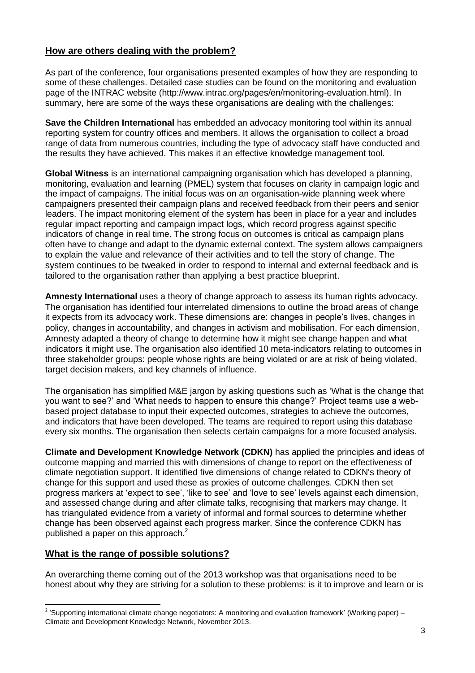## **How are others dealing with the problem?**

As part of the conference, four organisations presented examples of how they are responding to some of these challenges. Detailed case studies can be found on the monitoring and evaluation page of the INTRAC website (http://www.intrac.org/pages/en/monitoring-evaluation.html). In summary, here are some of the ways these organisations are dealing with the challenges:

**Save the Children International** has embedded an advocacy monitoring tool within its annual reporting system for country offices and members. It allows the organisation to collect a broad range of data from numerous countries, including the type of advocacy staff have conducted and the results they have achieved. This makes it an effective knowledge management tool.

**Global Witness** is an international campaigning organisation which has developed a planning, monitoring, evaluation and learning (PMEL) system that focuses on clarity in campaign logic and the impact of campaigns. The initial focus was on an organisation-wide planning week where campaigners presented their campaign plans and received feedback from their peers and senior leaders. The impact monitoring element of the system has been in place for a year and includes regular impact reporting and campaign impact logs, which record progress against specific indicators of change in real time. The strong focus on outcomes is critical as campaign plans often have to change and adapt to the dynamic external context. The system allows campaigners to explain the value and relevance of their activities and to tell the story of change. The system continues to be tweaked in order to respond to internal and external feedback and is tailored to the organisation rather than applying a best practice blueprint.

**Amnesty International** uses a theory of change approach to assess its human rights advocacy. The organisation has identified four interrelated dimensions to outline the broad areas of change it expects from its advocacy work. These dimensions are: changes in people's lives, changes in policy, changes in accountability, and changes in activism and mobilisation. For each dimension, Amnesty adapted a theory of change to determine how it might see change happen and what indicators it might use. The organisation also identified 10 meta-indicators relating to outcomes in three stakeholder groups: people whose rights are being violated or are at risk of being violated, target decision makers, and key channels of influence.

The organisation has simplified M&E jargon by asking questions such as 'What is the change that you want to see?' and 'What needs to happen to ensure this change?' Project teams use a webbased project database to input their expected outcomes, strategies to achieve the outcomes, and indicators that have been developed. The teams are required to report using this database every six months. The organisation then selects certain campaigns for a more focused analysis.

**Climate and Development Knowledge Network (CDKN)** has applied the principles and ideas of outcome mapping and married this with dimensions of change to report on the effectiveness of climate negotiation support. It identified five dimensions of change related to CDKN's theory of change for this support and used these as proxies of outcome challenges. CDKN then set progress markers at 'expect to see', 'like to see' and 'love to see' levels against each dimension, and assessed change during and after climate talks, recognising that markers may change. It has triangulated evidence from a variety of informal and formal sources to determine whether change has been observed against each progress marker. Since the conference CDKN has published a paper on this approach.<sup>2</sup>

## **What is the range of possible solutions?**

 $\overline{\phantom{a}}$ 

An overarching theme coming out of the 2013 workshop was that organisations need to be honest about why they are striving for a solution to these problems: is it to improve and learn or is

<sup>&</sup>lt;sup>2</sup> 'Supporting international climate change negotiators: A monitoring and evaluation framework' (Working paper) – Climate and Development Knowledge Network, November 2013.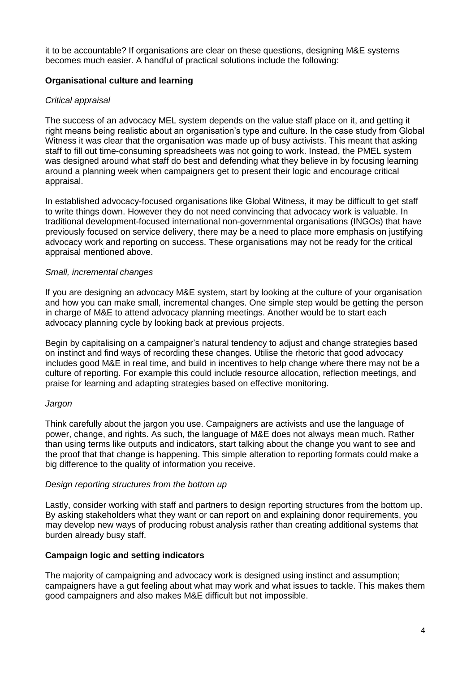it to be accountable? If organisations are clear on these questions, designing M&E systems becomes much easier. A handful of practical solutions include the following:

## **Organisational culture and learning**

## *Critical appraisal*

The success of an advocacy MEL system depends on the value staff place on it, and getting it right means being realistic about an organisation's type and culture. In the case study from Global Witness it was clear that the organisation was made up of busy activists. This meant that asking staff to fill out time-consuming spreadsheets was not going to work. Instead, the PMEL system was designed around what staff do best and defending what they believe in by focusing learning around a planning week when campaigners get to present their logic and encourage critical appraisal.

In established advocacy-focused organisations like Global Witness, it may be difficult to get staff to write things down. However they do not need convincing that advocacy work is valuable. In traditional development-focused international non-governmental organisations (INGOs) that have previously focused on service delivery, there may be a need to place more emphasis on justifying advocacy work and reporting on success. These organisations may not be ready for the critical appraisal mentioned above.

## *Small, incremental changes*

If you are designing an advocacy M&E system, start by looking at the culture of your organisation and how you can make small, incremental changes. One simple step would be getting the person in charge of M&E to attend advocacy planning meetings. Another would be to start each advocacy planning cycle by looking back at previous projects.

Begin by capitalising on a campaigner's natural tendency to adjust and change strategies based on instinct and find ways of recording these changes. Utilise the rhetoric that good advocacy includes good M&E in real time, and build in incentives to help change where there may not be a culture of reporting. For example this could include resource allocation, reflection meetings, and praise for learning and adapting strategies based on effective monitoring.

## *Jargon*

Think carefully about the jargon you use. Campaigners are activists and use the language of power, change, and rights. As such, the language of M&E does not always mean much. Rather than using terms like outputs and indicators, start talking about the change you want to see and the proof that that change is happening. This simple alteration to reporting formats could make a big difference to the quality of information you receive.

## *Design reporting structures from the bottom up*

Lastly, consider working with staff and partners to design reporting structures from the bottom up. By asking stakeholders what they want or can report on and explaining donor requirements, you may develop new ways of producing robust analysis rather than creating additional systems that burden already busy staff.

## **Campaign logic and setting indicators**

The majority of campaigning and advocacy work is designed using instinct and assumption; campaigners have a gut feeling about what may work and what issues to tackle. This makes them good campaigners and also makes M&E difficult but not impossible.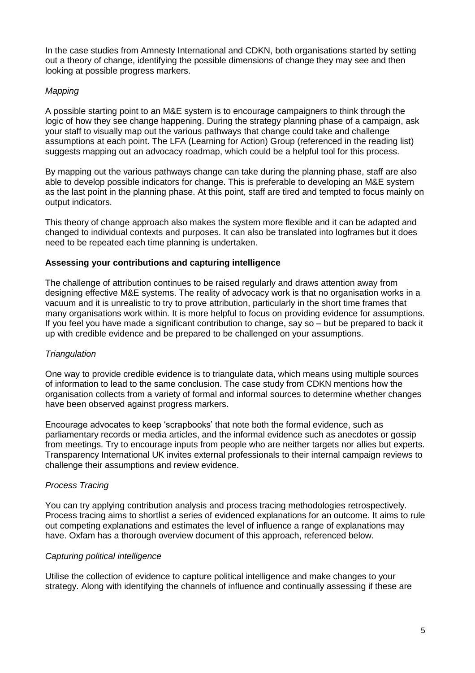In the case studies from Amnesty International and CDKN, both organisations started by setting out a theory of change, identifying the possible dimensions of change they may see and then looking at possible progress markers.

## *Mapping*

A possible starting point to an M&E system is to encourage campaigners to think through the logic of how they see change happening. During the strategy planning phase of a campaign, ask your staff to visually map out the various pathways that change could take and challenge assumptions at each point. The LFA (Learning for Action) Group (referenced in the reading list) suggests mapping out an advocacy roadmap, which could be a helpful tool for this process.

By mapping out the various pathways change can take during the planning phase, staff are also able to develop possible indicators for change. This is preferable to developing an M&E system as the last point in the planning phase. At this point, staff are tired and tempted to focus mainly on output indicators.

This theory of change approach also makes the system more flexible and it can be adapted and changed to individual contexts and purposes. It can also be translated into logframes but it does need to be repeated each time planning is undertaken.

#### **Assessing your contributions and capturing intelligence**

The challenge of attribution continues to be raised regularly and draws attention away from designing effective M&E systems. The reality of advocacy work is that no organisation works in a vacuum and it is unrealistic to try to prove attribution, particularly in the short time frames that many organisations work within. It is more helpful to focus on providing evidence for assumptions. If you feel you have made a significant contribution to change, say so – but be prepared to back it up with credible evidence and be prepared to be challenged on your assumptions.

#### *Triangulation*

One way to provide credible evidence is to triangulate data, which means using multiple sources of information to lead to the same conclusion. The case study from CDKN mentions how the organisation collects from a variety of formal and informal sources to determine whether changes have been observed against progress markers.

Encourage advocates to keep 'scrapbooks' that note both the formal evidence, such as parliamentary records or media articles, and the informal evidence such as anecdotes or gossip from meetings. Try to encourage inputs from people who are neither targets nor allies but experts. Transparency International UK invites external professionals to their internal campaign reviews to challenge their assumptions and review evidence.

#### *Process Tracing*

You can try applying contribution analysis and process tracing methodologies retrospectively. Process tracing aims to shortlist a series of evidenced explanations for an outcome. It aims to rule out competing explanations and estimates the level of influence a range of explanations may have. Oxfam has a thorough overview document of this approach, referenced below.

#### *Capturing political intelligence*

Utilise the collection of evidence to capture political intelligence and make changes to your strategy. Along with identifying the channels of influence and continually assessing if these are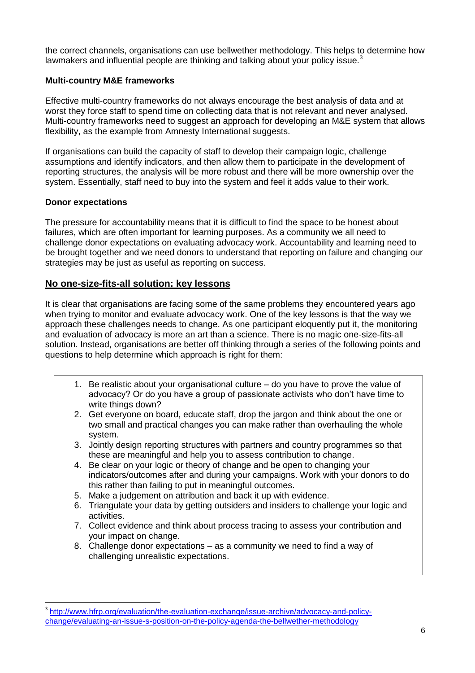the correct channels, organisations can use bellwether methodology. This helps to determine how lawmakers and influential people are thinking and talking about your policy issue. $3$ 

## **Multi-country M&E frameworks**

Effective multi-country frameworks do not always encourage the best analysis of data and at worst they force staff to spend time on collecting data that is not relevant and never analysed. Multi-country frameworks need to suggest an approach for developing an M&E system that allows flexibility, as the example from Amnesty International suggests.

If organisations can build the capacity of staff to develop their campaign logic, challenge assumptions and identify indicators, and then allow them to participate in the development of reporting structures, the analysis will be more robust and there will be more ownership over the system. Essentially, staff need to buy into the system and feel it adds value to their work.

## **Donor expectations**

 $\overline{a}$ 

The pressure for accountability means that it is difficult to find the space to be honest about failures, which are often important for learning purposes. As a community we all need to challenge donor expectations on evaluating advocacy work. Accountability and learning need to be brought together and we need donors to understand that reporting on failure and changing our strategies may be just as useful as reporting on success.

## **No one-size-fits-all solution: key lessons**

It is clear that organisations are facing some of the same problems they encountered years ago when trying to monitor and evaluate advocacy work. One of the key lessons is that the way we approach these challenges needs to change. As one participant eloquently put it, the monitoring and evaluation of advocacy is more an art than a science. There is no magic one-size-fits-all solution. Instead, organisations are better off thinking through a series of the following points and questions to help determine which approach is right for them:

- 1. Be realistic about your organisational culture do you have to prove the value of advocacy? Or do you have a group of passionate activists who don't have time to write things down?
- 2. Get everyone on board, educate staff, drop the jargon and think about the one or two small and practical changes you can make rather than overhauling the whole system.
- 3. Jointly design reporting structures with partners and country programmes so that these are meaningful and help you to assess contribution to change.
- 4. Be clear on your logic or theory of change and be open to changing your indicators/outcomes after and during your campaigns. Work with your donors to do this rather than failing to put in meaningful outcomes.
- 5. Make a judgement on attribution and back it up with evidence.
- 6. Triangulate your data by getting outsiders and insiders to challenge your logic and activities.
- 7. Collect evidence and think about process tracing to assess your contribution and your impact on change.
- 8. Challenge donor expectations as a community we need to find a way of challenging unrealistic expectations.

<sup>&</sup>lt;sup>3</sup> [http://www.hfrp.org/evaluation/the-evaluation-exchange/issue-archive/advocacy-and-policy](http://www.hfrp.org/evaluation/the-evaluation-exchange/issue-archive/advocacy-and-policy-change/evaluating-an-issue-s-position-on-the-policy-agenda-the-bellwether-methodology)[change/evaluating-an-issue-s-position-on-the-policy-agenda-the-bellwether-methodology](http://www.hfrp.org/evaluation/the-evaluation-exchange/issue-archive/advocacy-and-policy-change/evaluating-an-issue-s-position-on-the-policy-agenda-the-bellwether-methodology)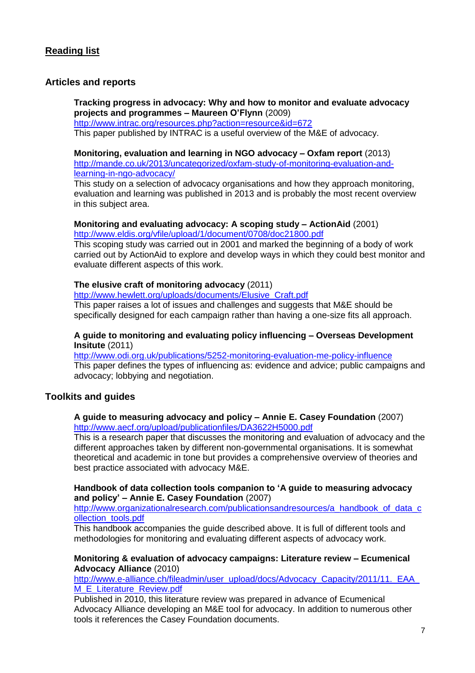## **Articles and reports**

#### **Tracking progress in advocacy: Why and how to monitor and evaluate advocacy projects and programmes – Maureen O'Flynn** (2009)

<http://www.intrac.org/resources.php?action=resource&id=672>

This paper published by INTRAC is a useful overview of the M&E of advocacy.

## **Monitoring, evaluation and learning in NGO advocacy – Oxfam report** (2013)

[http://mande.co.uk/2013/uncategorized/oxfam-study-of-monitoring-evaluation-and](http://mande.co.uk/2013/uncategorized/oxfam-study-of-monitoring-evaluation-and-learning-in-ngo-advocacy/)[learning-in-ngo-advocacy/](http://mande.co.uk/2013/uncategorized/oxfam-study-of-monitoring-evaluation-and-learning-in-ngo-advocacy/)

This study on a selection of advocacy organisations and how they approach monitoring, evaluation and learning was published in 2013 and is probably the most recent overview in this subject area.

#### **Monitoring and evaluating advocacy: A scoping study – ActionAid** (2001) <http://www.eldis.org/vfile/upload/1/document/0708/doc21800.pdf>

This scoping study was carried out in 2001 and marked the beginning of a body of work carried out by ActionAid to explore and develop ways in which they could best monitor and evaluate different aspects of this work.

## **The elusive craft of monitoring advocacy** (2011)

[http://www.hewlett.org/uploads/documents/Elusive\\_Craft.pdf](http://www.hewlett.org/uploads/documents/Elusive_Craft.pdf)

This paper raises a lot of issues and challenges and suggests that M&E should be specifically designed for each campaign rather than having a one-size fits all approach.

#### **A guide to monitoring and evaluating policy influencing – Overseas Development Insitute** (2011)

<http://www.odi.org.uk/publications/5252-monitoring-evaluation-me-policy-influence> This paper defines the types of influencing as: evidence and advice; public campaigns and advocacy; lobbying and negotiation.

## **Toolkits and guides**

#### **A guide to measuring advocacy and policy – Annie E. Casey Foundation** (2007) <http://www.aecf.org/upload/publicationfiles/DA3622H5000.pdf>

This is a research paper that discusses the monitoring and evaluation of advocacy and the different approaches taken by different non-governmental organisations. It is somewhat theoretical and academic in tone but provides a comprehensive overview of theories and best practice associated with advocacy M&E.

#### **Handbook of data collection tools companion to 'A guide to measuring advocacy and policy' – Annie E. Casey Foundation** (2007)

[http://www.organizationalresearch.com/publicationsandresources/a\\_handbook\\_of\\_data\\_c](http://www.organizationalresearch.com/publicationsandresources/a_handbook_of_data_collection_tools.pdf) [ollection\\_tools.pdf](http://www.organizationalresearch.com/publicationsandresources/a_handbook_of_data_collection_tools.pdf)

This handbook accompanies the guide described above. It is full of different tools and methodologies for monitoring and evaluating different aspects of advocacy work.

#### **Monitoring & evaluation of advocacy campaigns: Literature review – Ecumenical Advocacy Alliance** (2010)

http://www.e-alliance.ch/fileadmin/user\_upload/docs/Advocacy\_Capacity/2011/11.\_EAA [M\\_E\\_Literature\\_Review.pdf](http://www.e-alliance.ch/fileadmin/user_upload/docs/Advocacy_Capacity/2011/11._EAA_M_E_Literature_Review.pdf)

Published in 2010, this literature review was prepared in advance of Ecumenical Advocacy Alliance developing an M&E tool for advocacy. In addition to numerous other tools it references the Casey Foundation documents.